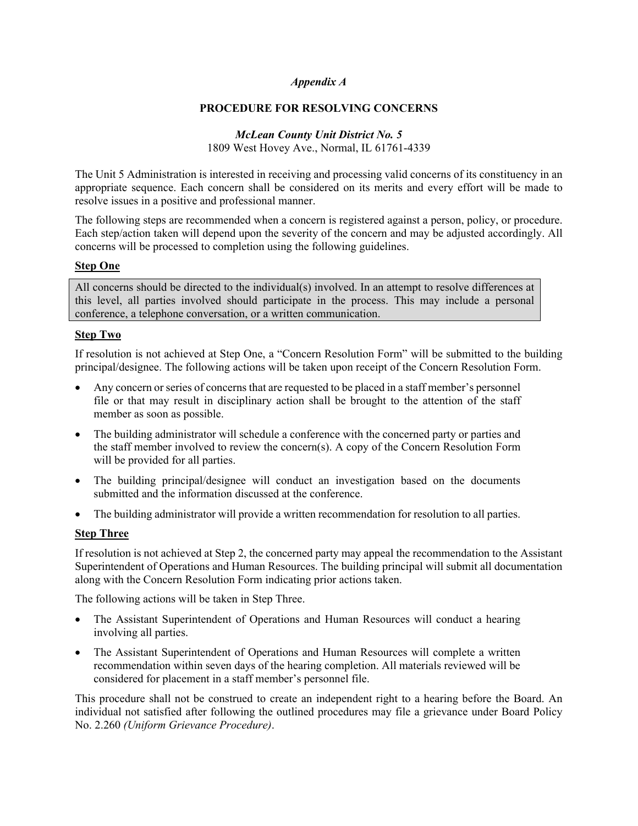#### *Appendix A*

#### **PROCEDURE FOR RESOLVING CONCERNS**

# *McLean County Unit District No. 5*

1809 West Hovey Ave., Normal, IL 61761-4339

The Unit 5 Administration is interested in receiving and processing valid concerns of its constituency in an appropriate sequence. Each concern shall be considered on its merits and every effort will be made to resolve issues in a positive and professional manner.

The following steps are recommended when a concern is registered against a person, policy, or procedure. Each step/action taken will depend upon the severity of the concern and may be adjusted accordingly. All concerns will be processed to completion using the following guidelines.

#### **Step One**

All concerns should be directed to the individual(s) involved. In an attempt to resolve differences at this level, all parties involved should participate in the process. This may include a personal conference, a telephone conversation, or a written communication.

#### **Step Two**

If resolution is not achieved at Step One, a "Concern Resolution Form" will be submitted to the building principal/designee. The following actions will be taken upon receipt of the Concern Resolution Form.

- Any concern or series of concerns that are requested to be placed in a staff member's personnel file or that may result in disciplinary action shall be brought to the attention of the staff member as soon as possible.
- The building administrator will schedule a conference with the concerned party or parties and the staff member involved to review the concern(s). A copy of the Concern Resolution Form will be provided for all parties.
- The building principal/designee will conduct an investigation based on the documents submitted and the information discussed at the conference.
- The building administrator will provide a written recommendation for resolution to all parties.

#### **Step Three**

If resolution is not achieved at Step 2, the concerned party may appeal the recommendation to the Assistant Superintendent of Operations and Human Resources. The building principal will submit all documentation along with the Concern Resolution Form indicating prior actions taken.

The following actions will be taken in Step Three.

- The Assistant Superintendent of Operations and Human Resources will conduct a hearing involving all parties.
- The Assistant Superintendent of Operations and Human Resources will complete a written recommendation within seven days of the hearing completion. All materials reviewed will be considered for placement in a staff member's personnel file.

This procedure shall not be construed to create an independent right to a hearing before the Board. An individual not satisfied after following the outlined procedures may file a grievance under Board Policy No. 2.260 *(Uniform Grievance Procedure)*.